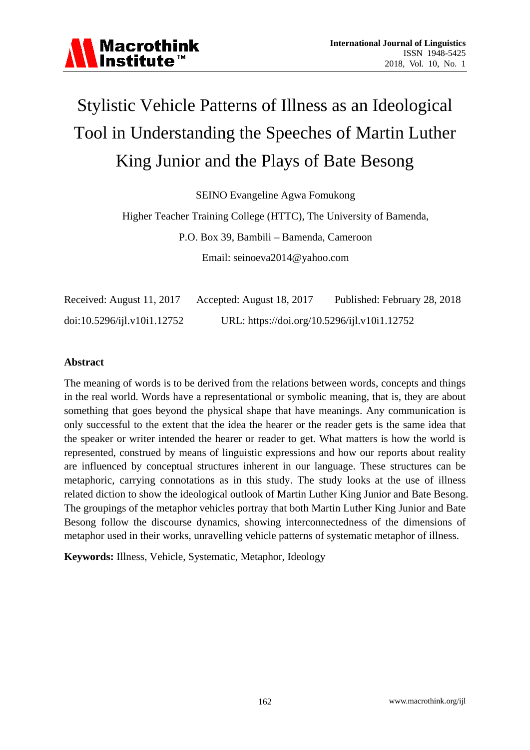

# Stylistic Vehicle Patterns of Illness as an Ideological Tool in Understanding the Speeches of Martin Luther King Junior and the Plays of Bate Besong

SEINO Evangeline Agwa Fomukong

Higher Teacher Training College (HTTC), The University of Bamenda,

P.O. Box 39, Bambili – Bamenda, Cameroon

Email: seinoeva2014@yahoo.com

| Received: August 11, 2017   | Accepted: August 18, 2017                    | Published: February 28, 2018 |
|-----------------------------|----------------------------------------------|------------------------------|
| doi:10.5296/ijl.v10i1.12752 | URL: https://doi.org/10.5296/ijl.v10i1.12752 |                              |

#### **Abstract**

The meaning of words is to be derived from the relations between words, concepts and things in the real world. Words have a representational or symbolic meaning, that is, they are about something that goes beyond the physical shape that have meanings. Any communication is only successful to the extent that the idea the hearer or the reader gets is the same idea that the speaker or writer intended the hearer or reader to get. What matters is how the world is represented, construed by means of linguistic expressions and how our reports about reality are influenced by conceptual structures inherent in our language. These structures can be metaphoric, carrying connotations as in this study. The study looks at the use of illness related diction to show the ideological outlook of Martin Luther King Junior and Bate Besong. The groupings of the metaphor vehicles portray that both Martin Luther King Junior and Bate Besong follow the discourse dynamics, showing interconnectedness of the dimensions of metaphor used in their works, unravelling vehicle patterns of systematic metaphor of illness.

**Keywords:** Illness, Vehicle, Systematic, Metaphor, Ideology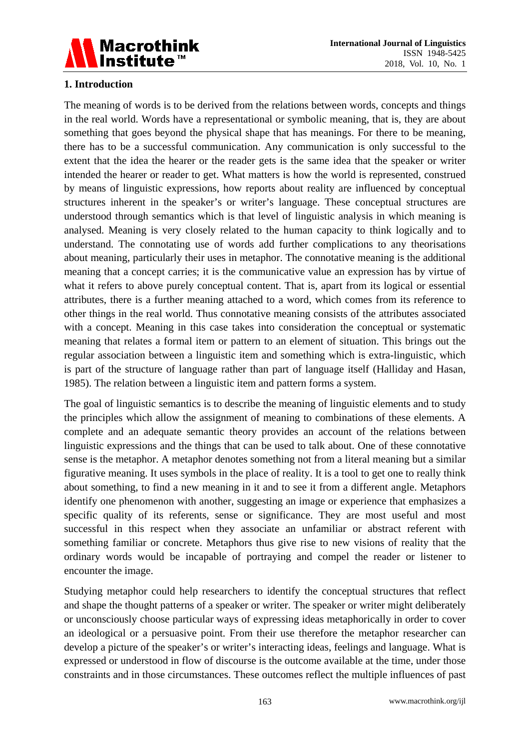

# **1. Introduction**

The meaning of words is to be derived from the relations between words, concepts and things in the real world. Words have a representational or symbolic meaning, that is, they are about something that goes beyond the physical shape that has meanings. For there to be meaning, there has to be a successful communication. Any communication is only successful to the extent that the idea the hearer or the reader gets is the same idea that the speaker or writer intended the hearer or reader to get. What matters is how the world is represented, construed by means of linguistic expressions, how reports about reality are influenced by conceptual structures inherent in the speaker's or writer's language. These conceptual structures are understood through semantics which is that level of linguistic analysis in which meaning is analysed. Meaning is very closely related to the human capacity to think logically and to understand. The connotating use of words add further complications to any theorisations about meaning, particularly their uses in metaphor. The connotative meaning is the additional meaning that a concept carries; it is the communicative value an expression has by virtue of what it refers to above purely conceptual content. That is, apart from its logical or essential attributes, there is a further meaning attached to a word, which comes from its reference to other things in the real world. Thus connotative meaning consists of the attributes associated with a concept. Meaning in this case takes into consideration the conceptual or systematic meaning that relates a formal item or pattern to an element of situation. This brings out the regular association between a linguistic item and something which is extra-linguistic, which is part of the structure of language rather than part of language itself (Halliday and Hasan, 1985). The relation between a linguistic item and pattern forms a system.

The goal of linguistic semantics is to describe the meaning of linguistic elements and to study the principles which allow the assignment of meaning to combinations of these elements. A complete and an adequate semantic theory provides an account of the relations between linguistic expressions and the things that can be used to talk about. One of these connotative sense is the metaphor. A metaphor denotes something not from a literal meaning but a similar figurative meaning. It uses symbols in the place of reality. It is a tool to get one to really think about something, to find a new meaning in it and to see it from a different angle. Metaphors identify one phenomenon with another, suggesting an image or experience that emphasizes a specific quality of its referents, sense or significance. They are most useful and most successful in this respect when they associate an unfamiliar or abstract referent with something familiar or concrete. Metaphors thus give rise to new visions of reality that the ordinary words would be incapable of portraying and compel the reader or listener to encounter the image.

Studying metaphor could help researchers to identify the conceptual structures that reflect and shape the thought patterns of a speaker or writer. The speaker or writer might deliberately or unconsciously choose particular ways of expressing ideas metaphorically in order to cover an ideological or a persuasive point. From their use therefore the metaphor researcher can develop a picture of the speaker's or writer's interacting ideas, feelings and language. What is expressed or understood in flow of discourse is the outcome available at the time, under those constraints and in those circumstances. These outcomes reflect the multiple influences of past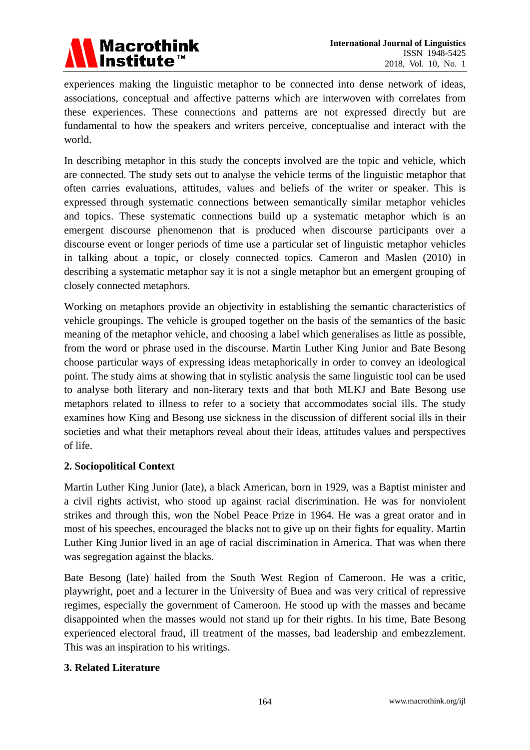

experiences making the linguistic metaphor to be connected into dense network of ideas, associations, conceptual and affective patterns which are interwoven with correlates from these experiences. These connections and patterns are not expressed directly but are fundamental to how the speakers and writers perceive, conceptualise and interact with the world.

In describing metaphor in this study the concepts involved are the topic and vehicle, which are connected. The study sets out to analyse the vehicle terms of the linguistic metaphor that often carries evaluations, attitudes, values and beliefs of the writer or speaker. This is expressed through systematic connections between semantically similar metaphor vehicles and topics. These systematic connections build up a systematic metaphor which is an emergent discourse phenomenon that is produced when discourse participants over a discourse event or longer periods of time use a particular set of linguistic metaphor vehicles in talking about a topic, or closely connected topics. Cameron and Maslen (2010) in describing a systematic metaphor say it is not a single metaphor but an emergent grouping of closely connected metaphors.

Working on metaphors provide an objectivity in establishing the semantic characteristics of vehicle groupings. The vehicle is grouped together on the basis of the semantics of the basic meaning of the metaphor vehicle, and choosing a label which generalises as little as possible, from the word or phrase used in the discourse. Martin Luther King Junior and Bate Besong choose particular ways of expressing ideas metaphorically in order to convey an ideological point. The study aims at showing that in stylistic analysis the same linguistic tool can be used to analyse both literary and non-literary texts and that both MLKJ and Bate Besong use metaphors related to illness to refer to a society that accommodates social ills. The study examines how King and Besong use sickness in the discussion of different social ills in their societies and what their metaphors reveal about their ideas, attitudes values and perspectives of life.

# **2. Sociopolitical Context**

Martin Luther King Junior (late), a black American, born in 1929, was a Baptist minister and a civil rights activist, who stood up against racial discrimination. He was for nonviolent strikes and through this, won the Nobel Peace Prize in 1964. He was a great orator and in most of his speeches, encouraged the blacks not to give up on their fights for equality. Martin Luther King Junior lived in an age of racial discrimination in America. That was when there was segregation against the blacks.

Bate Besong (late) hailed from the South West Region of Cameroon. He was a critic, playwright, poet and a lecturer in the University of Buea and was very critical of repressive regimes, especially the government of Cameroon. He stood up with the masses and became disappointed when the masses would not stand up for their rights. In his time, Bate Besong experienced electoral fraud, ill treatment of the masses, bad leadership and embezzlement. This was an inspiration to his writings.

### **3. Related Literature**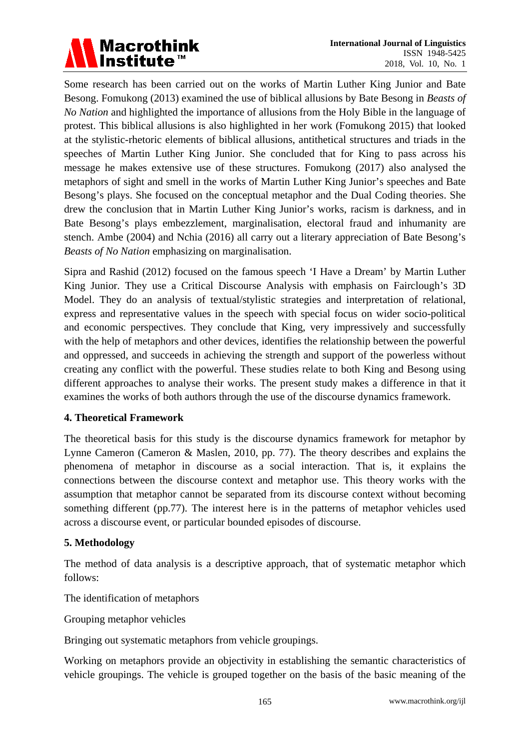

Some research has been carried out on the works of Martin Luther King Junior and Bate Besong. Fomukong (2013) examined the use of biblical allusions by Bate Besong in *Beasts of No Nation* and highlighted the importance of allusions from the Holy Bible in the language of protest. This biblical allusions is also highlighted in her work (Fomukong 2015) that looked at the stylistic-rhetoric elements of biblical allusions, antithetical structures and triads in the speeches of Martin Luther King Junior. She concluded that for King to pass across his message he makes extensive use of these structures. Fomukong (2017) also analysed the metaphors of sight and smell in the works of Martin Luther King Junior's speeches and Bate Besong's plays. She focused on the conceptual metaphor and the Dual Coding theories. She drew the conclusion that in Martin Luther King Junior's works, racism is darkness, and in Bate Besong's plays embezzlement, marginalisation, electoral fraud and inhumanity are stench. Ambe (2004) and Nchia (2016) all carry out a literary appreciation of Bate Besong's *Beasts of No Nation* emphasizing on marginalisation.

Sipra and Rashid (2012) focused on the famous speech 'I Have a Dream' by Martin Luther King Junior. They use a Critical Discourse Analysis with emphasis on Fairclough's 3D Model. They do an analysis of textual/stylistic strategies and interpretation of relational, express and representative values in the speech with special focus on wider socio-political and economic perspectives. They conclude that King, very impressively and successfully with the help of metaphors and other devices, identifies the relationship between the powerful and oppressed, and succeeds in achieving the strength and support of the powerless without creating any conflict with the powerful. These studies relate to both King and Besong using different approaches to analyse their works. The present study makes a difference in that it examines the works of both authors through the use of the discourse dynamics framework.

### **4. Theoretical Framework**

The theoretical basis for this study is the discourse dynamics framework for metaphor by Lynne Cameron (Cameron & Maslen, 2010, pp. 77). The theory describes and explains the phenomena of metaphor in discourse as a social interaction. That is, it explains the connections between the discourse context and metaphor use. This theory works with the assumption that metaphor cannot be separated from its discourse context without becoming something different (pp.77). The interest here is in the patterns of metaphor vehicles used across a discourse event, or particular bounded episodes of discourse.

### **5. Methodology**

The method of data analysis is a descriptive approach, that of systematic metaphor which follows:

The identification of metaphors

Grouping metaphor vehicles

Bringing out systematic metaphors from vehicle groupings.

Working on metaphors provide an objectivity in establishing the semantic characteristics of vehicle groupings. The vehicle is grouped together on the basis of the basic meaning of the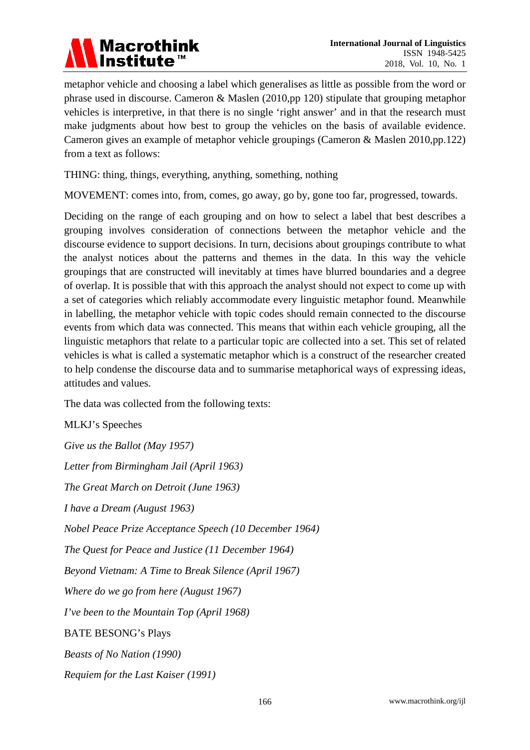

metaphor vehicle and choosing a label which generalises as little as possible from the word or phrase used in discourse. Cameron & Maslen (2010,pp 120) stipulate that grouping metaphor vehicles is interpretive, in that there is no single 'right answer' and in that the research must make judgments about how best to group the vehicles on the basis of available evidence. Cameron gives an example of metaphor vehicle groupings (Cameron & Maslen 2010,pp.122) from a text as follows:

THING: thing, things, everything, anything, something, nothing

MOVEMENT: comes into, from, comes, go away, go by, gone too far, progressed, towards.

Deciding on the range of each grouping and on how to select a label that best describes a grouping involves consideration of connections between the metaphor vehicle and the discourse evidence to support decisions. In turn, decisions about groupings contribute to what the analyst notices about the patterns and themes in the data. In this way the vehicle groupings that are constructed will inevitably at times have blurred boundaries and a degree of overlap. It is possible that with this approach the analyst should not expect to come up with a set of categories which reliably accommodate every linguistic metaphor found. Meanwhile in labelling, the metaphor vehicle with topic codes should remain connected to the discourse events from which data was connected. This means that within each vehicle grouping, all the linguistic metaphors that relate to a particular topic are collected into a set. This set of related vehicles is what is called a systematic metaphor which is a construct of the researcher created to help condense the discourse data and to summarise metaphorical ways of expressing ideas, attitudes and values.

The data was collected from the following texts:

MLKJ's Speeches

*Give us the Ballot (May 1957)*

*Letter from Birmingham Jail (April 1963)*

*The Great March on Detroit (June 1963)*

*I have a Dream (August 1963)*

*Nobel Peace Prize Acceptance Speech (10 December 1964)*

*The Quest for Peace and Justice (11 December 1964)*

*Beyond Vietnam: A Time to Break Silence (April 1967)*

*Where do we go from here (August 1967)*

*I've been to the Mountain Top (April 1968)*

BATE BESONG's Plays

*Beasts of No Nation (1990)*

*Requiem for the Last Kaiser (1991)*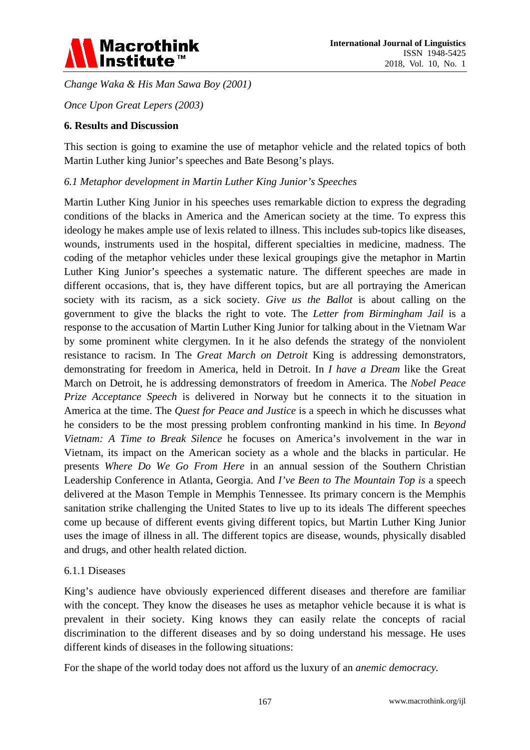

*Change Waka & His Man Sawa Boy (2001)*

*Once Upon Great Lepers (2003)*

# **6. Results and Discussion**

This section is going to examine the use of metaphor vehicle and the related topics of both Martin Luther king Junior's speeches and Bate Besong's plays.

# *6.1 Metaphor development in Martin Luther King Junior's Speeches*

Martin Luther King Junior in his speeches uses remarkable diction to express the degrading conditions of the blacks in America and the American society at the time. To express this ideology he makes ample use of lexis related to illness. This includes sub-topics like diseases, wounds, instruments used in the hospital, different specialties in medicine, madness. The coding of the metaphor vehicles under these lexical groupings give the metaphor in Martin Luther King Junior's speeches a systematic nature. The different speeches are made in different occasions, that is, they have different topics, but are all portraying the American society with its racism, as a sick society. *Give us the Ballot* is about calling on the government to give the blacks the right to vote. The *Letter from Birmingham Jail* is a response to the accusation of Martin Luther King Junior for talking about in the Vietnam War by some prominent white clergymen. In it he also defends the strategy of the nonviolent resistance to racism. In The *Great March on Detroit* King is addressing demonstrators, demonstrating for freedom in America, held in Detroit. In *I have a Dream* like the Great March on Detroit, he is addressing demonstrators of freedom in America. The *Nobel Peace Prize Acceptance Speech* is delivered in Norway but he connects it to the situation in America at the time. The *Quest for Peace and Justice* is a speech in which he discusses what he considers to be the most pressing problem confronting mankind in his time. In *Beyond Vietnam: A Time to Break Silence* he focuses on America's involvement in the war in Vietnam, its impact on the American society as a whole and the blacks in particular. He presents *Where Do We Go From Here* in an annual session of the Southern Christian Leadership Conference in Atlanta, Georgia. And *I've Been to The Mountain Top is* a speech delivered at the Mason Temple in Memphis Tennessee. Its primary concern is the Memphis sanitation strike challenging the United States to live up to its ideals The different speeches come up because of different events giving different topics, but Martin Luther King Junior uses the image of illness in all. The different topics are disease, wounds, physically disabled and drugs, and other health related diction.

### 6.1.1 Diseases

King's audience have obviously experienced different diseases and therefore are familiar with the concept. They know the diseases he uses as metaphor vehicle because it is what is prevalent in their society. King knows they can easily relate the concepts of racial discrimination to the different diseases and by so doing understand his message. He uses different kinds of diseases in the following situations:

For the shape of the world today does not afford us the luxury of an *anemic democracy.*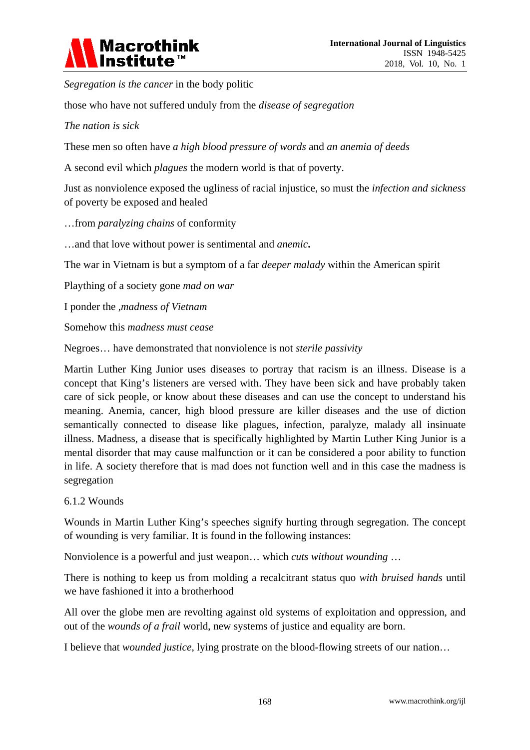

*Segregation is the cancer* in the body politic

those who have not suffered unduly from the *disease of segregation*

# *The nation is sick*

These men so often have *a high blood pressure of words* and *an anemia of deeds*

A second evil which *plagues* the modern world is that of poverty.

Just as nonviolence exposed the ugliness of racial injustice, so must the *infection and sickness* of poverty be exposed and healed

…from *paralyzing chains* of conformity

…and that love without power is sentimental and *anemic***.**

The war in Vietnam is but a symptom of a far *deeper malady* within the American spirit

Plaything of a society gone *mad on war*

I ponder the ,*madness of Vietnam*

Somehow this *madness must cease*

Negroes… have demonstrated that nonviolence is not *sterile passivity*

Martin Luther King Junior uses diseases to portray that racism is an illness. Disease is a concept that King's listeners are versed with. They have been sick and have probably taken care of sick people, or know about these diseases and can use the concept to understand his meaning. Anemia, cancer, high blood pressure are killer diseases and the use of diction semantically connected to disease like plagues, infection, paralyze, malady all insinuate illness. Madness, a disease that is specifically highlighted by Martin Luther King Junior is a mental disorder that may cause malfunction or it can be considered a poor ability to function in life. A society therefore that is mad does not function well and in this case the madness is segregation

### 6.1.2 Wounds

Wounds in Martin Luther King's speeches signify hurting through segregation. The concept of wounding is very familiar. It is found in the following instances:

Nonviolence is a powerful and just weapon… which *cuts without wounding* …

There is nothing to keep us from molding a recalcitrant status quo *with bruised hands* until we have fashioned it into a brotherhood

All over the globe men are revolting against old systems of exploitation and oppression, and out of the *wounds of a frail* world, new systems of justice and equality are born.

I believe that *wounded justice*, lying prostrate on the blood-flowing streets of our nation…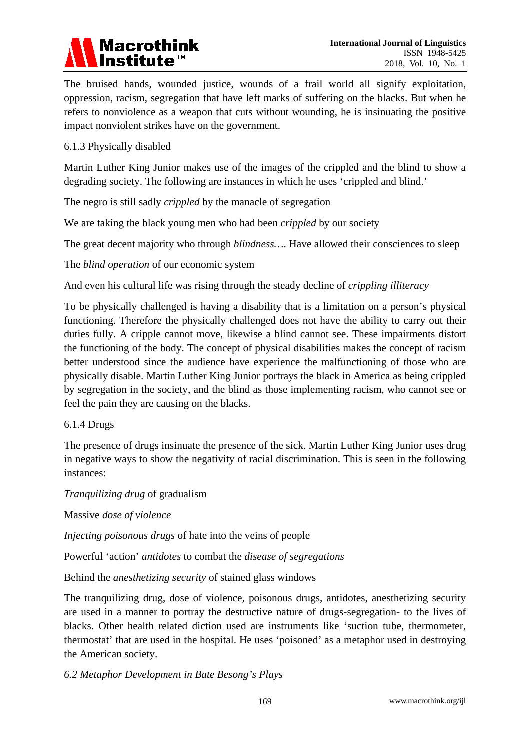# **Macrothink** Institute

The bruised hands, wounded justice, wounds of a frail world all signify exploitation, oppression, racism, segregation that have left marks of suffering on the blacks. But when he refers to nonviolence as a weapon that cuts without wounding, he is insinuating the positive impact nonviolent strikes have on the government.

# 6.1.3 Physically disabled

Martin Luther King Junior makes use of the images of the crippled and the blind to show a degrading society. The following are instances in which he uses 'crippled and blind.'

The negro is still sadly *crippled* by the manacle of segregation

We are taking the black young men who had been *crippled* by our society

The great decent majority who through *blindness…*. Have allowed their consciences to sleep

The *blind operation* of our economic system

And even his cultural life was rising through the steady decline of *crippling illiteracy*

To be physically challenged is having a disability that is a limitation on a person's physical functioning. Therefore the physically challenged does not have the ability to carry out their duties fully. A cripple cannot move, likewise a blind cannot see. These impairments distort the functioning of the body. The concept of physical disabilities makes the concept of racism better understood since the audience have experience the malfunctioning of those who are physically disable. Martin Luther King Junior portrays the black in America as being crippled by segregation in the society, and the blind as those implementing racism, who cannot see or feel the pain they are causing on the blacks.

### 6.1.4 Drugs

The presence of drugs insinuate the presence of the sick. Martin Luther King Junior uses drug in negative ways to show the negativity of racial discrimination. This is seen in the following instances:

*Tranquilizing drug* of gradualism

Massive *dose of violence*

*Injecting poisonous drugs* of hate into the veins of people

Powerful 'action' *antidotes* to combat the *disease of segregations*

Behind the *anesthetizing security* of stained glass windows

The tranquilizing drug, dose of violence, poisonous drugs, antidotes, anesthetizing security are used in a manner to portray the destructive nature of drugs-segregation- to the lives of blacks. Other health related diction used are instruments like 'suction tube, thermometer, thermostat' that are used in the hospital. He uses 'poisoned' as a metaphor used in destroying the American society.

# *6.2 Metaphor Development in Bate Besong's Plays*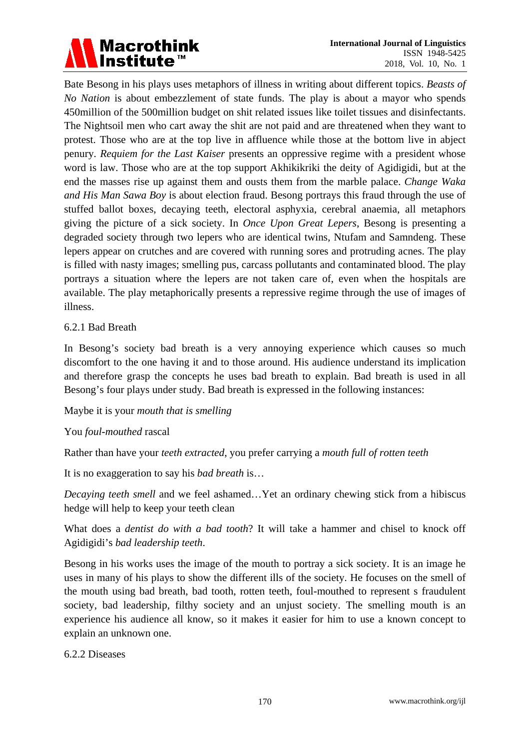

Bate Besong in his plays uses metaphors of illness in writing about different topics. *Beasts of No Nation* is about embezzlement of state funds. The play is about a mayor who spends 450million of the 500million budget on shit related issues like toilet tissues and disinfectants. The Nightsoil men who cart away the shit are not paid and are threatened when they want to protest. Those who are at the top live in affluence while those at the bottom live in abject penury. *Requiem for the Last Kaiser* presents an oppressive regime with a president whose word is law. Those who are at the top support Akhikikriki the deity of Agidigidi, but at the end the masses rise up against them and ousts them from the marble palace. *Change Waka and His Man Sawa Boy* is about election fraud. Besong portrays this fraud through the use of stuffed ballot boxes, decaying teeth, electoral asphyxia, cerebral anaemia, all metaphors giving the picture of a sick society. In *Once Upon Great Lepers*, Besong is presenting a degraded society through two lepers who are identical twins, Ntufam and Samndeng. These lepers appear on crutches and are covered with running sores and protruding acnes. The play is filled with nasty images; smelling pus, carcass pollutants and contaminated blood. The play portrays a situation where the lepers are not taken care of, even when the hospitals are available. The play metaphorically presents a repressive regime through the use of images of illness.

### 6.2.1 Bad Breath

In Besong's society bad breath is a very annoying experience which causes so much discomfort to the one having it and to those around. His audience understand its implication and therefore grasp the concepts he uses bad breath to explain. Bad breath is used in all Besong's four plays under study. Bad breath is expressed in the following instances:

Maybe it is your *mouth that is smelling*

# You *foul-mouthed* rascal

Rather than have your *teeth extracted*, you prefer carrying a *mouth full of rotten teeth*

It is no exaggeration to say his *bad breath* is…

*Decaying teeth smell* and we feel ashamed…Yet an ordinary chewing stick from a hibiscus hedge will help to keep your teeth clean

What does a *dentist do with a bad tooth*? It will take a hammer and chisel to knock off Agidigidi's *bad leadership teeth*.

Besong in his works uses the image of the mouth to portray a sick society. It is an image he uses in many of his plays to show the different ills of the society. He focuses on the smell of the mouth using bad breath, bad tooth, rotten teeth, foul-mouthed to represent s fraudulent society, bad leadership, filthy society and an unjust society. The smelling mouth is an experience his audience all know, so it makes it easier for him to use a known concept to explain an unknown one.

6.2.2 Diseases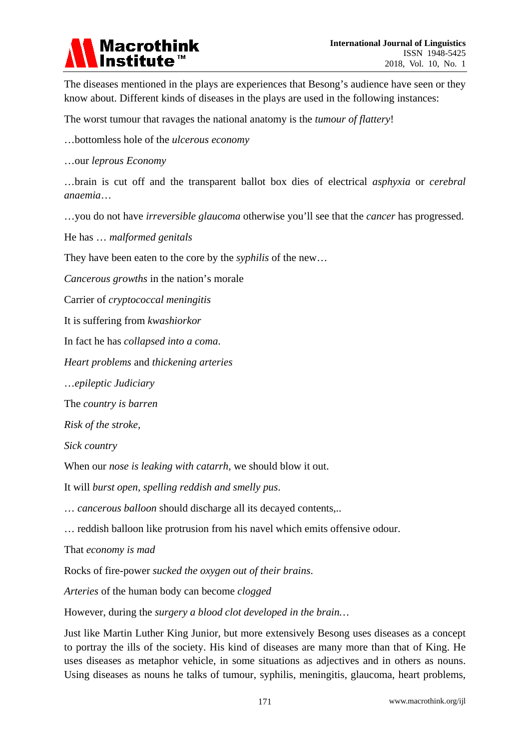# **Macrothink** institut

The diseases mentioned in the plays are experiences that Besong's audience have seen or they know about. Different kinds of diseases in the plays are used in the following instances:

The worst tumour that ravages the national anatomy is the *tumour of flattery*!

…bottomless hole of the *ulcerous economy*

…our *leprous Economy*

…brain is cut off and the transparent ballot box dies of electrical *asphyxia* or *cerebral anaemia*…

…you do not have *irreversible glaucoma* otherwise you'll see that the *cancer* has progressed.

He has … *malformed genitals* 

They have been eaten to the core by the *syphilis* of the new…

*Cancerous growths* in the nation's morale

Carrier of *cryptococcal meningitis*

It is suffering from *kwashiorkor*

In fact he has *collapsed into a coma*.

*Heart problems* and *thickening arteries*

…*epileptic Judiciary*

The *country is barren*

*Risk of the stroke,* 

*Sick country*

When our *nose is leaking with catarrh,* we should blow it out.

It will *burst open, spelling reddish and smelly pus*.

… *cancerous balloon* should discharge all its decayed contents,..

… reddish balloon like protrusion from his navel which emits offensive odour.

That *economy is mad*

Rocks of fire-power *sucked the oxygen out of their brains*.

*Arteries* of the human body can become *clogged*

However, during the *surgery a blood clot developed in the brain…*

Just like Martin Luther King Junior, but more extensively Besong uses diseases as a concept to portray the ills of the society. His kind of diseases are many more than that of King. He uses diseases as metaphor vehicle, in some situations as adjectives and in others as nouns. Using diseases as nouns he talks of tumour, syphilis, meningitis, glaucoma, heart problems,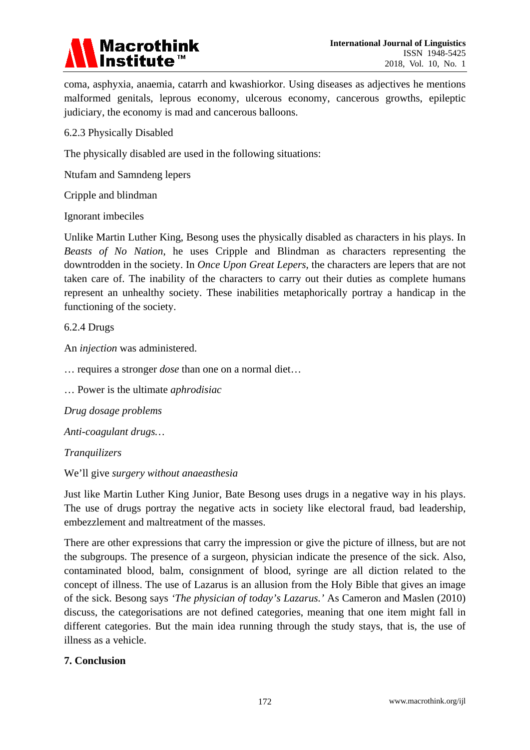

coma, asphyxia, anaemia, catarrh and kwashiorkor. Using diseases as adjectives he mentions malformed genitals, leprous economy, ulcerous economy, cancerous growths, epileptic judiciary, the economy is mad and cancerous balloons.

### 6.2.3 Physically Disabled

The physically disabled are used in the following situations:

Ntufam and Samndeng lepers

Cripple and blindman

Ignorant imbeciles

Unlike Martin Luther King, Besong uses the physically disabled as characters in his plays. In *Beasts of No Nation*, he uses Cripple and Blindman as characters representing the downtrodden in the society. In *Once Upon Great Lepers*, the characters are lepers that are not taken care of. The inability of the characters to carry out their duties as complete humans represent an unhealthy society. These inabilities metaphorically portray a handicap in the functioning of the society.

6.2.4 Drugs

An *injection* was administered.

… requires a stronger *dose* than one on a normal diet…

… Power is the ultimate *aphrodisiac*

*Drug dosage problems*

*Anti-coagulant drugs…*

*Tranquilizers*

We'll give *surgery without anaeasthesia*

Just like Martin Luther King Junior, Bate Besong uses drugs in a negative way in his plays. The use of drugs portray the negative acts in society like electoral fraud, bad leadership, embezzlement and maltreatment of the masses.

There are other expressions that carry the impression or give the picture of illness, but are not the subgroups. The presence of a surgeon, physician indicate the presence of the sick. Also, contaminated blood, balm, consignment of blood, syringe are all diction related to the concept of illness. The use of Lazarus is an allusion from the Holy Bible that gives an image of the sick. Besong says *'The physician of today's Lazarus.'* As Cameron and Maslen (2010) discuss, the categorisations are not defined categories, meaning that one item might fall in different categories. But the main idea running through the study stays, that is, the use of illness as a vehicle.

# **7. Conclusion**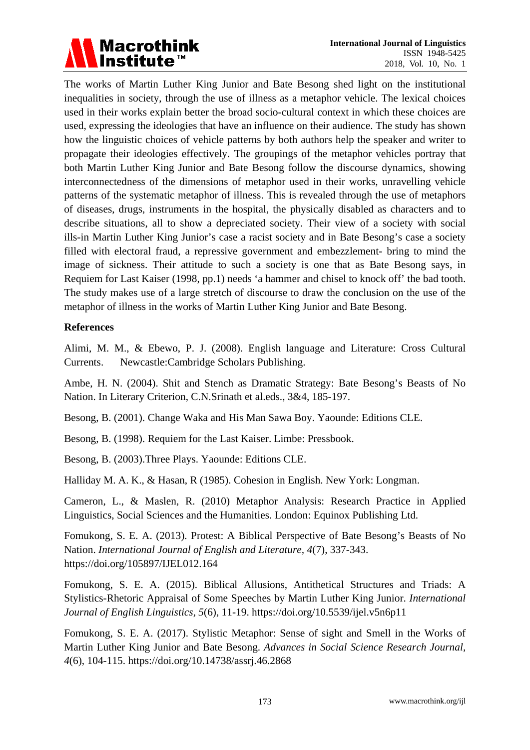

The works of Martin Luther King Junior and Bate Besong shed light on the institutional inequalities in society, through the use of illness as a metaphor vehicle. The lexical choices used in their works explain better the broad socio-cultural context in which these choices are used, expressing the ideologies that have an influence on their audience. The study has shown how the linguistic choices of vehicle patterns by both authors help the speaker and writer to propagate their ideologies effectively. The groupings of the metaphor vehicles portray that both Martin Luther King Junior and Bate Besong follow the discourse dynamics, showing interconnectedness of the dimensions of metaphor used in their works, unravelling vehicle patterns of the systematic metaphor of illness. This is revealed through the use of metaphors of diseases, drugs, instruments in the hospital, the physically disabled as characters and to describe situations, all to show a depreciated society. Their view of a society with social ills-in Martin Luther King Junior's case a racist society and in Bate Besong's case a society filled with electoral fraud, a repressive government and embezzlement- bring to mind the image of sickness. Their attitude to such a society is one that as Bate Besong says, in Requiem for Last Kaiser (1998, pp.1) needs 'a hammer and chisel to knock off' the bad tooth. The study makes use of a large stretch of discourse to draw the conclusion on the use of the metaphor of illness in the works of Martin Luther King Junior and Bate Besong.

### **References**

Alimi, M. M., & Ebewo, P. J. (2008). English language and Literature: Cross Cultural Currents. Newcastle:Cambridge Scholars Publishing.

Ambe, H. N. (2004). Shit and Stench as Dramatic Strategy: Bate Besong's Beasts of No Nation. In Literary Criterion, C.N.Srinath et al.eds., 3&4, 185-197.

Besong, B. (2001). Change Waka and His Man Sawa Boy. Yaounde: Editions CLE.

Besong, B. (1998). Requiem for the Last Kaiser. Limbe: Pressbook.

Besong, B. (2003).Three Plays. Yaounde: Editions CLE.

Halliday M. A. K., & Hasan, R (1985). Cohesion in English. New York: Longman.

Cameron, L., & Maslen, R. (2010) Metaphor Analysis: Research Practice in Applied Linguistics, Social Sciences and the Humanities. London: Equinox Publishing Ltd.

Fomukong, S. E. A. (2013). Protest: A Biblical Perspective of Bate Besong's Beasts of No Nation. *International Journal of English and Literature, 4*(7), 337-343. https://doi.org/105897/IJEL012.164

Fomukong, S. E. A. (2015). Biblical Allusions, Antithetical Structures and Triads: A Stylistics-Rhetoric Appraisal of Some Speeches by Martin Luther King Junior. *International Journal of English Linguistics, 5*(6), 11-19. https://doi.org/10.5539/ijel.v5n6p11

Fomukong, S. E. A. (2017). Stylistic Metaphor: Sense of sight and Smell in the Works of Martin Luther King Junior and Bate Besong. *Advances in Social Science Research Journal, 4*(6), 104-115. https://doi.org/10.14738/assrj.46.2868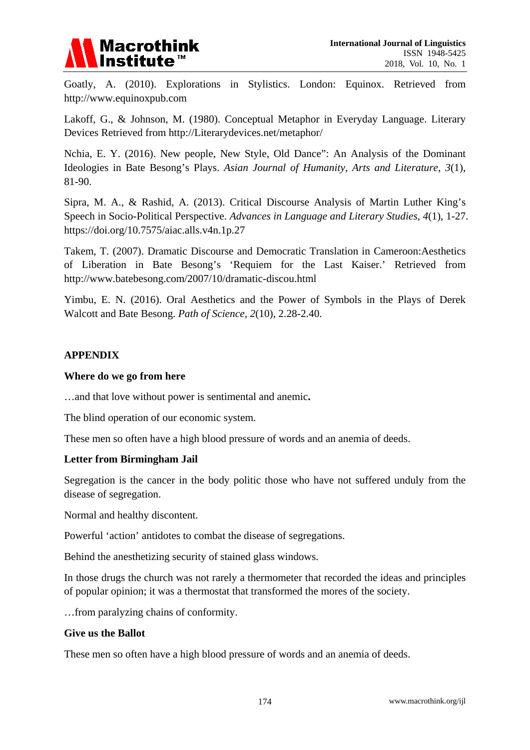

Goatly, A. (2010). Explorations in Stylistics. London: Equinox. Retrieved from http://www.equinoxpub.com

Lakoff, G., & Johnson, M. (1980). Conceptual Metaphor in Everyday Language. Literary Devices Retrieved from http://Literarydevices.net/metaphor/

Nchia, E. Y. (2016). New people, New Style, Old Dance": An Analysis of the Dominant Ideologies in Bate Besong's Plays. *Asian Journal of Humanity, Arts and Literature, 3*(1), 81-90.

Sipra, M. A., & Rashid, A. (2013). Critical Discourse Analysis of Martin Luther King's Speech in Socio-Political Perspective. *Advances in Language and Literary Studies, 4*(1), 1-27. https://doi.org/10.7575/aiac.alls.v4n.1p.27

Takem, T. (2007). Dramatic Discourse and Democratic Translation in Cameroon:Aesthetics of Liberation in Bate Besong's 'Requiem for the Last Kaiser.' Retrieved from http://www.batebesong.com/2007/10/dramatic-discou.html

Yimbu, E. N. (2016). Oral Aesthetics and the Power of Symbols in the Plays of Derek Walcott and Bate Besong. *Path of Science, 2*(10), 2.28-2.40.

# **APPENDIX**

### **Where do we go from here**

…and that love without power is sentimental and anemic**.**

The blind operation of our economic system.

These men so often have a high blood pressure of words and an anemia of deeds.

### **Letter from Birmingham Jail**

Segregation is the cancer in the body politic those who have not suffered unduly from the disease of segregation.

Normal and healthy discontent.

Powerful 'action' antidotes to combat the disease of segregations.

Behind the anesthetizing security of stained glass windows.

In those drugs the church was not rarely a thermometer that recorded the ideas and principles of popular opinion; it was a thermostat that transformed the mores of the society.

…from paralyzing chains of conformity.

### **Give us the Ballot**

These men so often have a high blood pressure of words and an anemia of deeds.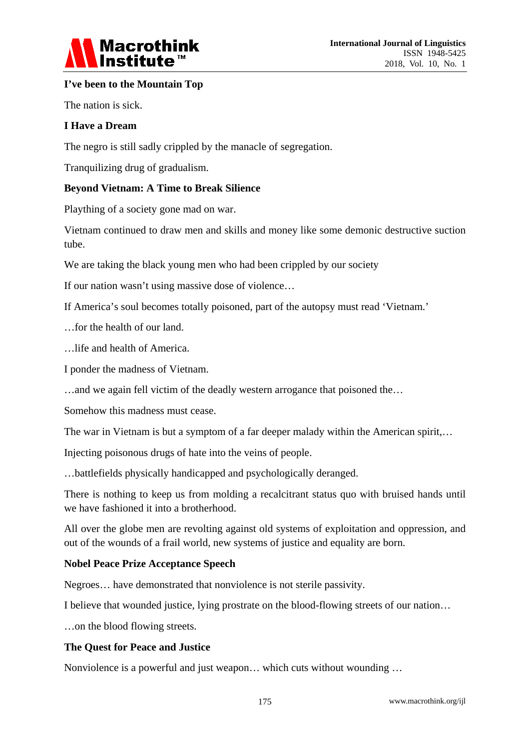

# **I've been to the Mountain Top**

The nation is sick.

# **I Have a Dream**

The negro is still sadly crippled by the manacle of segregation.

Tranquilizing drug of gradualism.

# **Beyond Vietnam: A Time to Break Silience**

Plaything of a society gone mad on war.

Vietnam continued to draw men and skills and money like some demonic destructive suction tube.

We are taking the black young men who had been crippled by our society

If our nation wasn't using massive dose of violence…

If America's soul becomes totally poisoned, part of the autopsy must read 'Vietnam.'

…for the health of our land.

…life and health of America.

I ponder the madness of Vietnam.

…and we again fell victim of the deadly western arrogance that poisoned the…

Somehow this madness must cease.

The war in Vietnam is but a symptom of a far deeper malady within the American spirit,...

Injecting poisonous drugs of hate into the veins of people.

…battlefields physically handicapped and psychologically deranged.

There is nothing to keep us from molding a recalcitrant status quo with bruised hands until we have fashioned it into a brotherhood.

All over the globe men are revolting against old systems of exploitation and oppression, and out of the wounds of a frail world, new systems of justice and equality are born.

### **Nobel Peace Prize Acceptance Speech**

Negroes… have demonstrated that nonviolence is not sterile passivity.

I believe that wounded justice, lying prostrate on the blood-flowing streets of our nation…

…on the blood flowing streets.

### **The Quest for Peace and Justice**

Nonviolence is a powerful and just weapon… which cuts without wounding …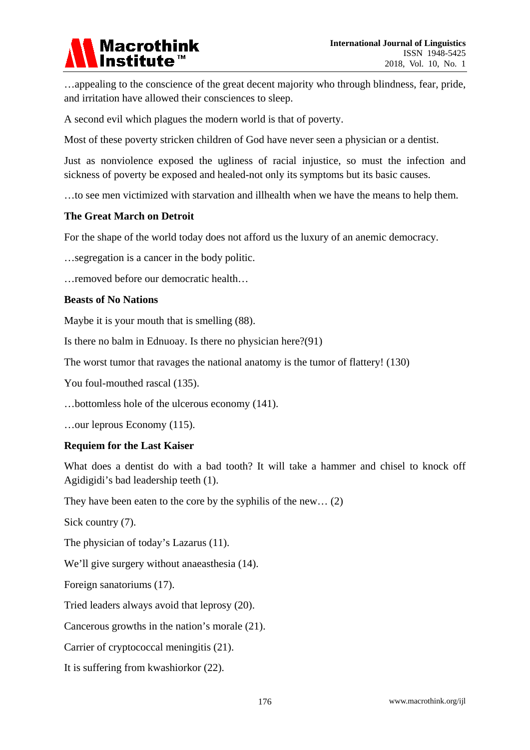

…appealing to the conscience of the great decent majority who through blindness, fear, pride, and irritation have allowed their consciences to sleep.

A second evil which plagues the modern world is that of poverty.

Most of these poverty stricken children of God have never seen a physician or a dentist.

Just as nonviolence exposed the ugliness of racial injustice, so must the infection and sickness of poverty be exposed and healed-not only its symptoms but its basic causes.

…to see men victimized with starvation and illhealth when we have the means to help them.

#### **The Great March on Detroit**

For the shape of the world today does not afford us the luxury of an anemic democracy.

…segregation is a cancer in the body politic.

…removed before our democratic health…

#### **Beasts of No Nations**

Maybe it is your mouth that is smelling (88).

Is there no balm in Ednuoay. Is there no physician here?(91)

The worst tumor that ravages the national anatomy is the tumor of flattery! (130)

You foul-mouthed rascal (135).

…bottomless hole of the ulcerous economy (141).

…our leprous Economy (115).

### **Requiem for the Last Kaiser**

What does a dentist do with a bad tooth? It will take a hammer and chisel to knock off Agidigidi's bad leadership teeth (1).

They have been eaten to the core by the syphilis of the new… (2)

Sick country  $(7)$ .

The physician of today's Lazarus (11).

We'll give surgery without anaeasthesia  $(14)$ .

Foreign sanatoriums (17).

Tried leaders always avoid that leprosy (20).

Cancerous growths in the nation's morale (21).

Carrier of cryptococcal meningitis (21).

It is suffering from kwashiorkor (22).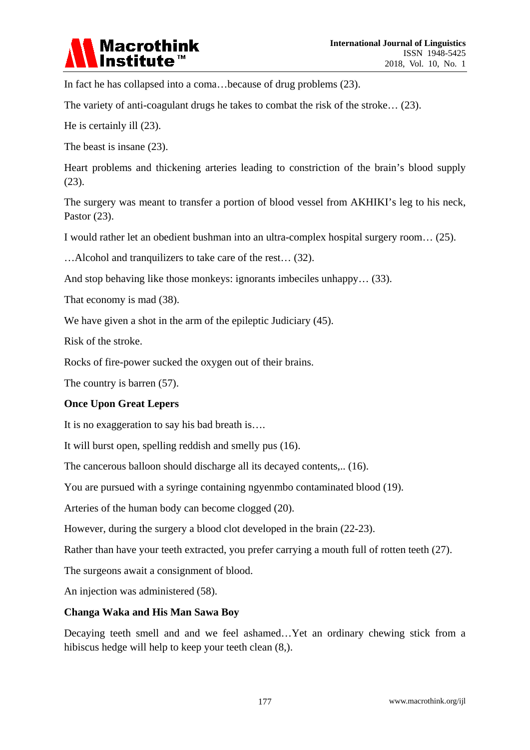

In fact he has collapsed into a coma…because of drug problems (23).

The variety of anti-coagulant drugs he takes to combat the risk of the stroke… (23).

He is certainly ill (23).

The beast is insane (23).

Heart problems and thickening arteries leading to constriction of the brain's blood supply (23).

The surgery was meant to transfer a portion of blood vessel from AKHIKI's leg to his neck, Pastor (23).

I would rather let an obedient bushman into an ultra-complex hospital surgery room… (25).

…Alcohol and tranquilizers to take care of the rest… (32).

And stop behaving like those monkeys: ignorants imbeciles unhappy… (33).

That economy is mad (38).

We have given a shot in the arm of the epileptic Judiciary  $(45)$ .

Risk of the stroke.

Rocks of fire-power sucked the oxygen out of their brains.

The country is barren (57).

# **Once Upon Great Lepers**

It is no exaggeration to say his bad breath is….

It will burst open, spelling reddish and smelly pus (16).

The cancerous balloon should discharge all its decayed contents,.. (16).

You are pursued with a syringe containing ngyenmbo contaminated blood (19).

Arteries of the human body can become clogged (20).

However, during the surgery a blood clot developed in the brain (22-23).

Rather than have your teeth extracted, you prefer carrying a mouth full of rotten teeth (27).

The surgeons await a consignment of blood.

An injection was administered (58).

# **Changa Waka and His Man Sawa Boy**

Decaying teeth smell and and we feel ashamed…Yet an ordinary chewing stick from a hibiscus hedge will help to keep your teeth clean (8,).